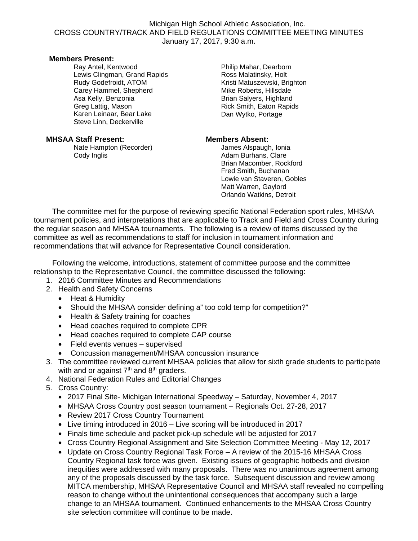## Michigan High School Athletic Association, Inc. CROSS COUNTRY/TRACK AND FIELD REGULATIONS COMMITTEE MEETING MINUTES January 17, 2017, 9:30 a.m.

### **Members Present:**

Ray Antel, Kentwood Lewis Clingman, Grand Rapids Rudy Godefroidt, ATOM Carey Hammel, Shepherd Asa Kelly, Benzonia Greg Lattig, Mason Karen Leinaar, Bear Lake Steve Linn, Deckerville

# **MHSAA Staff Present: Members Absent:**

Nate Hampton (Recorder) Cody Inglis **Cody Inglis** Cody Inglis **Adam Burhans**, Clare

Philip Mahar, Dearborn Ross Malatinsky, Holt Kristi Matuszewski, Brighton Mike Roberts, Hillsdale Brian Salyers, Highland Rick Smith, Eaton Rapids Dan Wytko, Portage

 Brian Macomber, Rockford Fred Smith, Buchanan Lowie van Staveren, Gobles Matt Warren, Gaylord Orlando Watkins, Detroit

The committee met for the purpose of reviewing specific National Federation sport rules, MHSAA tournament policies, and interpretations that are applicable to Track and Field and Cross Country during the regular season and MHSAA tournaments. The following is a review of items discussed by the committee as well as recommendations to staff for inclusion in tournament information and recommendations that will advance for Representative Council consideration.

 Following the welcome, introductions, statement of committee purpose and the committee relationship to the Representative Council, the committee discussed the following:

- 1. 2016 Committee Minutes and Recommendations
- 2. Health and Safety Concerns
	- Heat & Humidity
	- Should the MHSAA consider defining a" too cold temp for competition?"
	- Health & Safety training for coaches
	- Head coaches required to complete CPR
	- Head coaches required to complete CAP course
	- Field events venues supervised
	- Concussion management/MHSAA concussion insurance
- 3. The committee reviewed current MHSAA policies that allow for sixth grade students to participate with and or against  $7<sup>th</sup>$  and  $8<sup>th</sup>$  graders.
- 4. National Federation Rules and Editorial Changes
- 5. Cross Country:
	- 2017 Final Site- Michigan International Speedway Saturday, November 4, 2017
	- MHSAA Cross Country post season tournament Regionals Oct. 27-28, 2017
	- Review 2017 Cross Country Tournament
	- Live timing introduced in 2016 Live scoring will be introduced in 2017
	- Finals time schedule and packet pick-up schedule will be adjusted for 2017
	- Cross Country Regional Assignment and Site Selection Committee Meeting May 12, 2017
	- Update on Cross Country Regional Task Force A review of the 2015-16 MHSAA Cross Country Regional task force was given. Existing issues of geographic hotbeds and division inequities were addressed with many proposals. There was no unanimous agreement among any of the proposals discussed by the task force. Subsequent discussion and review among MITCA membership, MHSAA Representative Council and MHSAA staff revealed no compelling reason to change without the unintentional consequences that accompany such a large change to an MHSAA tournament. Continued enhancements to the MHSAA Cross Country site selection committee will continue to be made.